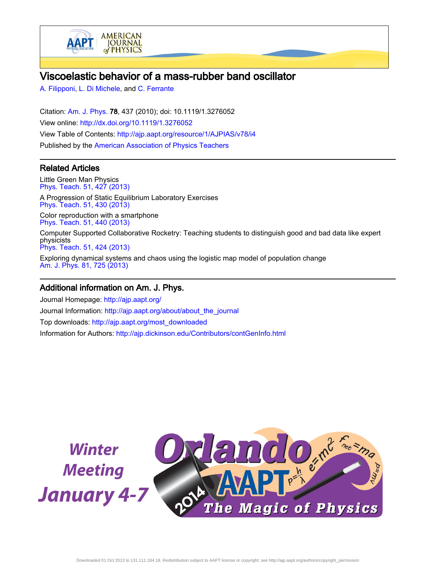

# Viscoelastic behavior of a mass-rubber band oscillator

[A. Filipponi](http://ajp.aapt.org/search?sortby=newestdate&q=&searchzone=2&searchtype=searchin&faceted=faceted&key=AJPIAS&possible1=A. Filipponi&possible1zone=author&alias=&displayid=AAPT&ver=pdfcov), [L. Di Michele,](http://ajp.aapt.org/search?sortby=newestdate&q=&searchzone=2&searchtype=searchin&faceted=faceted&key=AJPIAS&possible1=L. Di Michele&possible1zone=author&alias=&displayid=AAPT&ver=pdfcov) and [C. Ferrante](http://ajp.aapt.org/search?sortby=newestdate&q=&searchzone=2&searchtype=searchin&faceted=faceted&key=AJPIAS&possible1=C. Ferrante&possible1zone=author&alias=&displayid=AAPT&ver=pdfcov)

Citation: [Am. J. Phys.](http://ajp.aapt.org/?ver=pdfcov) 78, 437 (2010); doi: 10.1119/1.3276052 View online: [http://dx.doi.org/10.1119/1.3276052](http://link.aip.org/link/doi/10.1119/1.3276052?ver=pdfcov) View Table of Contents: [http://ajp.aapt.org/resource/1/AJPIAS/v78/i4](http://ajp.aapt.org/resource/1/AJPIAS/v78/i4?ver=pdfcov) Published by the [American Association of Physics Teachers](http://www.aapt.org/?ver=pdfcov)

# Related Articles

Little Green Man Physics [Phys. Teach. 51, 427 \(2013\)](http://link.aip.org/link/doi/10.1119/1.4820859?ver=pdfcov) A Progression of Static Equilibrium Laboratory Exercises [Phys. Teach. 51, 430 \(2013\)](http://link.aip.org/link/doi/10.1119/1.4820861?ver=pdfcov) Color reproduction with a smartphone [Phys. Teach. 51, 440 \(2013\)](http://link.aip.org/link/doi/10.1119/1.4820866?ver=pdfcov) Computer Supported Collaborative Rocketry: Teaching students to distinguish good and bad data like expert physicists [Phys. Teach. 51, 424 \(2013\)](http://link.aip.org/link/doi/10.1119/1.4820858?ver=pdfcov) Exploring dynamical systems and chaos using the logistic map model of population change [Am. J. Phys. 81, 725 \(2013\)](http://link.aip.org/link/doi/10.1119/1.4813114?ver=pdfcov)

# Additional information on Am. J. Phys.

Journal Homepage: [http://ajp.aapt.org/](http://ajp.aapt.org/?ver=pdfcov) Journal Information: [http://ajp.aapt.org/about/about\\_the\\_journal](http://ajp.aapt.org/about/about_the_journal?ver=pdfcov) Top downloads: [http://ajp.aapt.org/most\\_downloaded](http://ajp.aapt.org/most_downloaded?ver=pdfcov) Information for Authors: [http://ajp.dickinson.edu/Contributors/contGenInfo.html](http://ajp.dickinson.edu/Contributors/contGenInfo.html?ver=pdfcov)

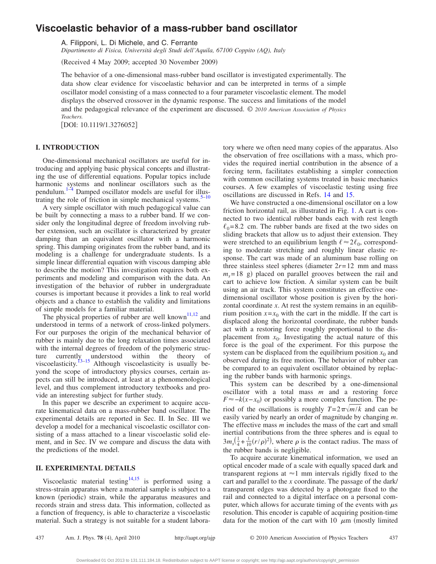# **Viscoelastic behavior of a mass-rubber band oscillator**

A. Filipponi, L. Di Michele, and C. Ferrante

*Dipartimento di Fisica, Università degli Studi dell'Aquila, 67100 Coppito (AQ), Italy*

(Received 4 May 2009; accepted 30 November 2009)

The behavior of a one-dimensional mass-rubber band oscillator is investigated experimentally. The data show clear evidence for viscoelastic behavior and can be interpreted in terms of a simple oscillator model consisting of a mass connected to a four parameter viscoelastic element. The model displays the observed crossover in the dynamic response. The success and limitations of the model and the pedagogical relevance of the experiment are discussed. © *2010 American Association of Physics Teachers.*

[DOI: 10.1119/1.3276052]

## **I. INTRODUCTION**

One-dimensional mechanical oscillators are useful for introducing and applying basic physical concepts and illustrating the use of differential equations. Popular topics include harmonic systems and nonlinear oscillators such as the pendulum.<sup>1–[4](#page-8-0)</sup> Damped oscillator models are useful for illus-trating the role of friction in simple mechanical systems.<sup>5–[10](#page-8-2)</sup>

A very simple oscillator with much pedagogical value can be built by connecting a mass to a rubber band. If we consider only the longitudinal degree of freedom involving rubber extension, such an oscillator is characterized by greater damping than an equivalent oscillator with a harmonic spring. This damping originates from the rubber band, and its modeling is a challenge for undergraduate students. Is a simple linear differential equation with viscous damping able to describe the motion? This investigation requires both experiments and modeling and comparison with the data. An investigation of the behavior of rubber in undergraduate courses is important because it provides a link to real world objects and a chance to establish the validity and limitations of simple models for a familiar material.

The physical properties of rubber are well known<sup>11[,12](#page-8-4)</sup> and understood in terms of a network of cross-linked polymers. For our purposes the origin of the mechanical behavior of rubber is mainly due to the long relaxation times associated with the internal degrees of freedom of the polymeric structure currently understood within the theory of viscoelasticity.<sup>13[–15](#page-8-6)</sup> Although viscoelasticity is usually beyond the scope of introductory physics courses, certain aspects can still be introduced, at least at a phenomenological level, and thus complement introductory textbooks and provide an interesting subject for further study.

In this paper we describe an experiment to acquire accurate kinematical data on a mass-rubber band oscillator. The experimental details are reported in Sec. II. In Sec. III we develop a model for a mechanical viscoelastic oscillator consisting of a mass attached to a linear viscoelastic solid element, and in Sec. IV we compare and discuss the data with the predictions of the model.

### **II. EXPERIMENTAL DETAILS**

Viscoelastic material testing<sup>14[,15](#page-8-6)</sup> is performed using a stress-strain apparatus where a material sample is subject to a known (periodic) strain, while the apparatus measures and records strain and stress data. This information, collected as a function of frequency, is able to characterize a viscoelastic material. Such a strategy is not suitable for a student laboratory where we often need many copies of the apparatus. Also the observation of free oscillations with a mass, which provides the required inertial contribution in the absence of a forcing term, facilitates establishing a simpler connection with common oscillating systems treated in basic mechanics courses. A few examples of viscoelastic testing using free oscillations are discussed in Refs. [14](#page-8-7) and [15.](#page-8-6)

We have constructed a one-dimensional oscillator on a low friction horizontal rail, as illustrated in Fig. [1.](#page-2-0) A cart is connected to two identical rubber bands each with rest length  $\ell_0$ =8.2 cm. The rubber bands are fixed at the two sides on sliding brackets that allow us to adjust their extension. They were stretched to an equilibrium length  $\ell \approx 2\ell_0$ , corresponding to moderate stretching and roughly linear elastic response. The cart was made of an aluminum base rolling on three stainless steel spheres (diameter  $2r = 12$  mm and mass  $m<sub>s</sub>=18$  g) placed on parallel grooves between the rail and cart to achieve low friction. A similar system can be built using an air track. This system constitutes an effective onedimensional oscillator whose position is given by the horizontal coordinate *x*. At rest the system remains in an equilibrium position  $x=x_0$  with the cart in the middle. If the cart is displaced along the horizontal coordinate, the rubber bands act with a restoring force roughly proportional to the displacement from  $x_0$ . Investigating the actual nature of this force is the goal of the experiment. For this purpose the system can be displaced from the equilibrium position  $x_0$  and observed during its free motion. The behavior of rubber can be compared to an equivalent oscillator obtained by replacing the rubber bands with harmonic springs.

This system can be described by a one-dimensional oscillator with a total mass *m* and a restoring force  $F \approx -k(x-x_0)$  or possibly a more complex function. The period of the oscillations is roughly  $T=2\pi\sqrt{m/k}$  and can be easily varied by nearly an order of magnitude by changing *m*. The effective mass *m* includes the mass of the cart and small inertial contributions from the three spheres and is equal to  $3m_s(\frac{1}{4} + \frac{1}{10}(r/\rho)^2)$ , where  $\rho$  is the contact radius. The mass of the rubber bands is negligible.

To acquire accurate kinematical information, we used an optical encoder made of a scale with equally spaced dark and transparent regions at  $\approx$ 1 mm intervals rigidly fixed to the cart and parallel to the *x* coordinate. The passage of the dark/ transparent edges was detected by a photogate fixed to the rail and connected to a digital interface on a personal computer, which allows for accurate timing of the events with  $\mu$ s resolution. This encoder is capable of acquiring position-time data for the motion of the cart with 10  $\mu$ m (mostly limited

437 Am. J. Phys. **78** (4), April 2010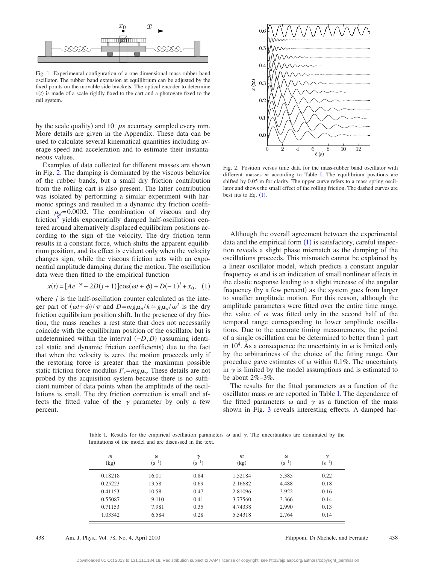<span id="page-2-0"></span>

Fig. 1. Experimental configuration of a one-dimensional mass-rubber band oscillator. The rubber band extension at equilibrium can be adjusted by the fixed points on the movable side brackets. The optical encoder to determine  $x(t)$  is made of a scale rigidly fixed to the cart and a photogate fixed to the rail system.

by the scale quality) and 10  $\mu$ s accuracy sampled every mm. More details are given in the Appendix. These data can be used to calculate several kinematical quantities including average speed and acceleration and to estimate their instantaneous values.

Examples of data collected for different masses are shown in Fig. [2.](#page-2-1) The damping is dominated by the viscous behavior of the rubber bands, but a small dry friction contribution from the rolling cart is also present. The latter contribution was isolated by performing a similar experiment with harmonic springs and resulted in a dynamic dry friction coefficient  $\mu_d$ =0.0002. The combination of viscous and dry  $friction<sup>8</sup>$  yields exponentially damped half-oscillations centered around alternatively displaced equilibrium positions according to the sign of the velocity. The dry friction term results in a constant force, which shifts the apparent equilibrium position, and its effect is evident only when the velocity changes sign, while the viscous friction acts with an exponential amplitude damping during the motion. The oscillation data were then fitted to the empirical function

$$
x(t) = [Ae^{-\gamma t} - 2D(j+1)]\cos(\omega t + \phi) + D(-1)^j + x_0, \quad (1)
$$

<span id="page-2-2"></span>where *j* is the half-oscillation counter calculated as the integer part of  $(\omega t + \phi)/\pi$  and  $D = mg\mu_d/k \approx g\mu_d/\omega^2$  is the dry friction equilibrium position shift. In the presence of dry friction, the mass reaches a rest state that does not necessarily coincide with the equilibrium position of the oscillator but is undetermined within the interval  $(-D, D)$  (assuming identical static and dynamic friction coefficients) due to the fact that when the velocity is zero, the motion proceeds only if the restoring force is greater than the maximum possible static friction force modulus  $F_s = mg\mu_s$ . These details are not probed by the acquisition system because there is no sufficient number of data points when the amplitude of the oscillations is small. The dry friction correction is small and affects the fitted value of the  $\gamma$  parameter by only a few percent.

<span id="page-2-1"></span>

Fig. 2. Position versus time data for the mass-rubber band oscillator with different masses *m* according to Table [I.](#page-2-3) The equilibrium positions are shifted by 0.05 m for clarity. The upper curve refers to a mass spring oscillator and shows the small effect of the rolling friction. The dashed curves are best fits to Eq.  $(1)$  $(1)$  $(1)$ .

Although the overall agreement between the experimental data and the empirical form  $(1)$  $(1)$  $(1)$  is satisfactory, careful inspection reveals a slight phase mismatch as the damping of the oscillations proceeds. This mismatch cannot be explained by a linear oscillator model, which predicts a constant angular frequency  $\omega$  and is an indication of small nonlinear effects in the elastic response leading to a slight increase of the angular frequency (by a few percent) as the system goes from larger to smaller amplitude motion. For this reason, although the amplitude parameters were fitted over the entire time range, the value of  $\omega$  was fitted only in the second half of the temporal range corresponding to lower amplitude oscillations. Due to the accurate timing measurements, the period of a single oscillation can be determined to better than 1 part in 10<sup>4</sup>. As a consequence the uncertainty in  $\omega$  is limited only by the arbitrariness of the choice of the fitting range. Our procedure gave estimates of  $\omega$  within 0.1%. The uncertainty in  $\gamma$  is limited by the model assumptions and is estimated to be about  $2\% - 3\%$ .

The results for the fitted parameters as a function of the oscillator mass *m* are reported in Table [I.](#page-2-3) The dependence of the fitted parameters  $\omega$  and  $\gamma$  as a function of the mass shown in Fig. [3](#page-3-0) reveals interesting effects. A damped har-

<span id="page-2-3"></span>Table I. Results for the empirical oscillation parameters  $\omega$  and  $\gamma$ . The uncertainties are dominated by the limitations of the model and are discussed in the text.

| $\mathfrak{m}$<br>(kg) | $\omega$<br>$(s^{-1})$ | $\gamma$<br>$(s^{-1})$ | m<br>(kg) | $\omega$<br>$(s^{-1})$ | $\gamma$<br>$(s^{-1})$ |
|------------------------|------------------------|------------------------|-----------|------------------------|------------------------|
| 0.18218                | 16.01                  | 0.84                   | 1.52184   | 5.385                  | 0.22                   |
| 0.25223                | 13.58                  | 0.69                   | 2.16682   | 4.488                  | 0.18                   |
| 0.41153                | 10.58                  | 0.47                   | 2.81096   | 3.922                  | 0.16                   |
| 0.55087                | 9.110                  | 0.41                   | 3.77560   | 3.366                  | 0.14                   |
| 0.71153                | 7.981                  | 0.35                   | 4.74338   | 2.990                  | 0.13                   |
| 1.03342                | 6.584                  | 0.28                   | 5.54318   | 2.764                  | 0.14                   |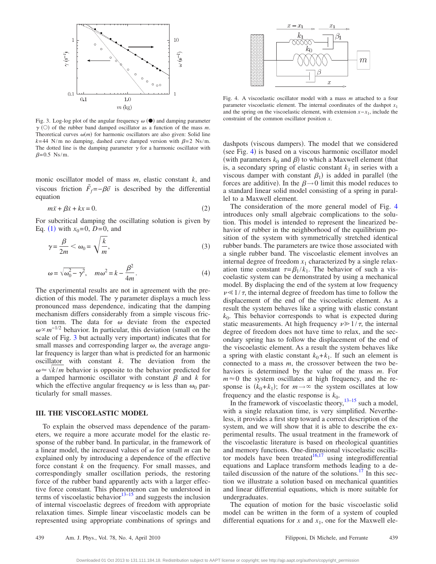<span id="page-3-0"></span>

Fig. 3. Log-log plot of the angular frequency  $\omega$  ( $\bullet$ ) and damping parameter  $\gamma$  (O) of the rubber band damped oscillator as a function of the mass *m*. Theoretical curves  $\omega(m)$  for harmonic oscillators are also given: Solid line  $k=44$  N/m no damping, dashed curve damped version with  $\beta=2$  Ns/m. The dotted line is the damping parameter  $\gamma$  for a harmonic oscillator with  $\beta$ =0.5 Ns/m.

monic oscillator model of mass *m*, elastic constant *k*, and viscous friction  $\vec{F}_f = -\beta \vec{v}$  is described by the differential equation

$$
m\ddot{x} + \beta \dot{x} + kx = 0. \tag{2}
$$

<span id="page-3-3"></span>For subcritical damping the oscillating solution is given by Eq. ([1](#page-2-2)) with  $x_0 = 0$ ,  $D = 0$ , and

$$
\gamma = \frac{\beta}{2m} < \omega_0 = \sqrt{\frac{k}{m}},\tag{3}
$$

<span id="page-3-2"></span>
$$
\omega = \sqrt{\omega_0^2 - \gamma^2}, \quad m\omega^2 = k - \frac{\beta^2}{4m}.
$$
 (4)

The experimental results are not in agreement with the prediction of this model. The  $\gamma$  parameter displays a much less pronounced mass dependence, indicating that the damping mechanism differs considerably from a simple viscous friction term. The data for  $\omega$  deviate from the expected  $\omega \propto m^{-1/2}$  behavior. In particular, this deviation (small on the scale of Fig. [3](#page-3-0) but actually very important) indicates that for small masses and corresponding larger  $\omega$ , the average angular frequency is larger than what is predicted for an harmonic oscillator with constant *k*. The deviation from the  $\omega \approx \sqrt{k/m}$  behavior is opposite to the behavior predicted for a damped harmonic oscillator with constant  $\beta$  and  $k$  for which the effective angular frequency  $\omega$  is less than  $\omega_0$  particularly for small masses.

#### **III. THE VISCOELASTIC MODEL**

To explain the observed mass dependence of the parameters, we require a more accurate model for the elastic response of the rubber band. In particular, in the framework of a linear model, the increased values of  $\omega$  for small *m* can be explained only by introducing a dependence of the effective force constant *k* on the frequency. For small masses, and correspondingly smaller oscillation periods, the restoring force of the rubber band apparently acts with a larger effective force constant. This phenomenon can be understood in terms of viscoelastic behavior $13-15$  $13-15$  and suggests the inclusion of internal viscoelastic degrees of freedom with appropriate relaxation times. Simple linear viscoelastic models can be represented using appropriate combinations of springs and

<span id="page-3-1"></span>

Fig. 4. A viscoelastic oscillator model with a mass *m* attached to a four parameter viscoelastic element. The internal coordinates of the dashpot  $x_1$ and the spring on the viscoelastic element, with extension *x*−*x*1, include the constraint of the common oscillator position *x*.

dashpots (viscous dampers). The model that we considered (see Fig. [4](#page-3-1)) is based on a viscous harmonic oscillator model (with parameters  $k_0$  and  $\beta$ ) to which a Maxwell element (that is, a secondary spring of elastic constant  $k_1$  in series with a viscous damper with constant  $\beta_1$ ) is added in parallel (the forces are additive). In the  $\beta \rightarrow 0$  limit this model reduces to a standard linear solid model consisting of a spring in parallel to a Maxwell element.

The consideration of the more general model of Fig. [4](#page-3-1) introduces only small algebraic complications to the solution. This model is intended to represent the linearized behavior of rubber in the neighborhood of the equilibrium position of the system with symmetrically stretched identical rubber bands. The parameters are twice those associated with a single rubber band. The viscoelastic element involves an internal degree of freedom  $x_1$  characterized by a single relaxation time constant  $\tau = \beta_1 / k_1$ . The behavior of such a viscoelastic system can be demonstrated by using a mechanical model. By displacing the end of the system at low frequency  $\nu \ll 1/\tau$ , the internal degree of freedom has time to follow the displacement of the end of the viscoelastic element. As a result the system behaves like a spring with elastic constant  $k<sub>0</sub>$ . This behavior corresponds to what is expected during static measurements. At high frequency  $\nu \geq 1/\tau$ , the internal degree of freedom does not have time to relax, and the secondary spring has to follow the displacement of the end of the viscoelastic element. As a result the system behaves like a spring with elastic constant  $k_0 + k_1$ . If such an element is connected to a mass *m*, the crossover between the two behaviors is determined by the value of the mass *m*. For  $m \approx 0$  the system oscillates at high frequency, and the response is  $(k_0+k_1)$ ; for  $m \rightarrow \infty$  the system oscillates at low frequency and the elastic response is  $k_0$ .

In the framework of viscoelastic theory,  $13-15$  such a model, with a single relaxation time, is very simplified. Nevertheless, it provides a first step toward a correct description of the system, and we will show that it is able to describe the experimental results. The usual treatment in the framework of the viscoelastic literature is based on rheological quantities and memory functions. One-dimensional viscoelastic oscillator models have been treated $16,17$  $16,17$  using integrodifferential equations and Laplace transform methods leading to a detailed discussion of the nature of the solutions.<sup>17</sup> In this section we illustrate a solution based on mechanical quantities and linear differential equations, which is more suitable for undergraduates.

The equation of motion for the basic viscoelastic solid model can be written in the form of a system of coupled differential equations for  $x$  and  $x_1$ , one for the Maxwell ele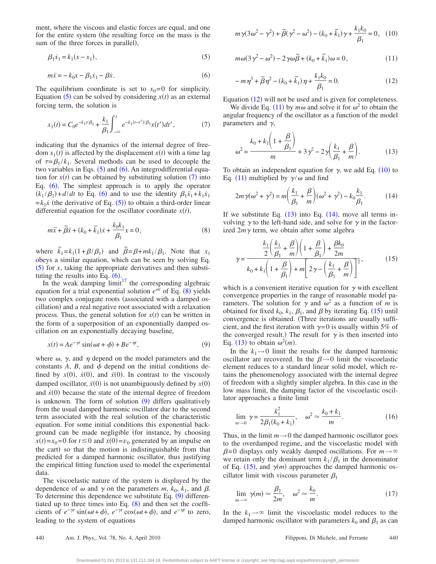ment, where the viscous and elastic forces are equal, and one for the entire system (the resulting force on the mass is the sum of the three forces in parallel),

<span id="page-4-0"></span>
$$
\beta_1 \dot{x}_1 = k_1(x - x_1),
$$
\n(5)

<span id="page-4-1"></span>
$$
m\ddot{x} = -k_0 x - \beta_1 \dot{x}_1 - \beta \dot{x}.
$$
\n<sup>(6)</sup>

The equilibrium coordinate is set to  $x_0=0$  for simplicity. Equation ([5](#page-4-0)) can be solved by considering  $x(t)$  as an external forcing term, the solution is

<span id="page-4-2"></span>
$$
x_1(t) = C_0 e^{-k_1 t/\beta_1} + \frac{k_1}{\beta_1} \int_{-\infty}^t e^{-k_1 (t - t')/\beta_1} x(t') dt', \tag{7}
$$

indicating that the dynamics of the internal degree of free- $\text{dom } x_1(t)$  is affected by the displacement  $x(t)$  with a time lag of  $\tau = \beta_1 / k_1$ . Several methods can be used to decouple the two variables in Eqs.  $(5)$  $(5)$  $(5)$  and  $(6)$  $(6)$  $(6)$ . An integrodifferential equation for  $x(t)$  can be obtained by substituting solution  $(7)$  $(7)$  $(7)$  into Eq. ([6](#page-4-1)). The simplest approach is to apply the operator  $(k_1/\beta_1) + d/dt$  to Eq. ([6](#page-4-1)) and to use the identity  $\beta_1 \ddot{x}_1 + k_1 \dot{x}_1$  $=k_1 \dot{x}$  (the derivative of Eq. ([5](#page-4-0))) to obtain a third-order linear differential equation for the oscillator coordinate  $x(t)$ ,

<span id="page-4-3"></span>
$$
m\ddot{x} + \tilde{\beta}\dot{x} + (k_0 + \tilde{k}_1)\dot{x} + \frac{k_0k_1}{\beta_1}x = 0,
$$
\n(8)

where  $\tilde{k}_1 = k_1(1 + \beta/\beta_1)$  and  $\tilde{\beta} = \beta + mk_1/\beta_1$ . Note that  $x_1$ obeys a similar equation, which can be seen by solving Eq.  $(5)$  $(5)$  $(5)$  for *x*, taking the appropriate derivatives and then substituting the results into Eq.  $(6)$  $(6)$  $(6)$ .

In the weak damping  $\lim_{t \to \infty} t^{17}$  the corresponding algebraic equation for a trial exponential solution  $e^{\alpha t}$  of Eq. ([8](#page-4-3)) yields two complex conjugate roots (associated with a damped oscillation) and a real negative root associated with a relaxation process. Thus, the general solution for  $x(t)$  can be written in the form of a superposition of an exponentially damped oscillation on an exponentially decaying baseline,

$$
x(t) = Ae^{-\gamma t} \sin(\omega t + \phi) + Be^{-\gamma t}, \tag{9}
$$

<span id="page-4-4"></span>where  $\omega$ ,  $\gamma$ , and  $\eta$  depend on the model parameters and the constants  $A$ ,  $B$ , and  $\phi$  depend on the initial conditions defined by  $x(0)$ ,  $\dot{x}(0)$ , and  $\ddot{x}(0)$ . In contrast to the viscously damped oscillator,  $\ddot{x}(0)$  is not unambiguously defined by  $x(0)$ and  $\dot{x}(0)$  because the state of the internal degree of freedom is unknown. The form of solution ([9](#page-4-4)) differs qualitatively from the usual damped harmonic oscillator due to the second term associated with the real solution of the characteristic equation. For some initial conditions this exponential background can be made negligible for instance, by choosing  $x(t) = x_0 = 0$  for  $t \le 0$  and  $\dot{x}(0) = v_0$  generated by an impulse on the cart) so that the motion is indistinguishable from that predicted for a damped harmonic oscillator, thus justifying the empirical fitting function used to model the experimental data.

The viscoelastic nature of the system is displayed by the dependence of  $\omega$  and  $\gamma$  on the parameters  $m$ ,  $k_0$ ,  $k_1$ , and  $\beta$ . To determine this dependence we substitute Eq.  $(9)$  $(9)$  $(9)$  differentiated up to three times into Eq.  $(8)$  $(8)$  $(8)$  and then set the coefficients of  $e^{-\gamma t} \sin(\omega t + \phi)$ ,  $e^{-\gamma t} \cos(\omega t + \phi)$ , and  $e^{-\eta t}$  to zero, leading to the system of equations

<span id="page-4-7"></span>
$$
m\gamma(3\omega^2 - \gamma^2) + \tilde{\beta}(\gamma^2 - \omega^2) - (k_0 + \tilde{k}_1)\gamma + \frac{k_1k_0}{\beta_1} = 0, \quad (10)
$$

<span id="page-4-6"></span>
$$
m\omega(3\gamma^2 - \omega^2) - 2\gamma\omega\tilde{\beta} + (k_0 + \tilde{k}_1)\omega = 0, \qquad (11)
$$

<span id="page-4-5"></span>
$$
-m\eta^3 + \tilde{\beta}\eta^2 - (k_0 + \tilde{k}_1)\eta + \frac{k_1k_0}{\beta_1} = 0.
$$
 (12)

Equation ([12](#page-4-5)) will not be used and is given for completeness.

We divide Eq. ([11](#page-4-6)) by  $m\omega$  and solve it for  $\omega^2$  to obtain the angular frequency of the oscillator as a function of the model parameters and  $\gamma$ ,

<span id="page-4-8"></span>
$$
\omega^2 = \frac{k_0 + k_1 \left(1 + \frac{\beta}{\beta_1}\right)}{m} + 3\gamma^2 - 2\gamma \left(\frac{k_1}{\beta_1} + \frac{\beta}{m}\right). \tag{13}
$$

To obtain an independent equation for  $\gamma$ , we add Eq. ([10](#page-4-7)) to Eq. ([11](#page-4-6)) multiplied by  $\gamma/\omega$  and find

<span id="page-4-9"></span>
$$
2m\gamma(\omega^2 + \gamma^2) = m\left(\frac{k_1}{\beta_1} + \frac{\beta}{m}\right)(\omega^2 + \gamma^2) - k_0\frac{k_1}{\beta_1}.\tag{14}
$$

If we substitute Eq.  $(13)$  $(13)$  $(13)$  into Eq.  $(14)$  $(14)$  $(14)$ , move all terms involving  $\gamma$  to the left-hand side, and solve for  $\gamma$  in the factorized  $2m\gamma$  term, we obtain after some algebra

<span id="page-4-10"></span>
$$
\gamma = \frac{\frac{k_1}{2} \left(\frac{k_1}{\beta_1} + \frac{\beta}{m}\right) \left(1 + \frac{\beta}{\beta_1}\right) + \frac{\beta k_0}{2m}}{k_0 + k_1 \left(1 + \frac{\beta}{\beta_1}\right) + m \left[2\gamma - \left(\frac{k_1}{\beta_1} + \frac{\beta}{m}\right)\right]^2},\tag{15}
$$

which is a convenient iterative equation for  $\gamma$  with excellent convergence properties in the range of reasonable model parameters. The solution for  $\gamma$  and  $\omega^2$  as a function of *m* is obtained for fixed  $k_0$ ,  $k_1$ ,  $\beta_1$ , and  $\beta$  by iterating Eq. ([15](#page-4-10)) until convergence is obtained. Three iterations are usually sufficient, and the first iteration with  $\gamma=0$  is usually within 5% of the converged result.) The result for  $\gamma$  is then inserted into Eq. ([13](#page-4-8)) to obtain  $\omega^2(m)$ .

In the  $k_1 \rightarrow 0$  limit the results for the damped harmonic oscillator are recovered. In the  $\beta \rightarrow 0$  limit the viscoelastic element reduces to a standard linear solid model, which retains the phenomenology associated with the internal degree of freedom with a slightly simpler algebra. In this case in the low mass limit, the damping factor of the viscoelastic oscillator approaches a finite limit

$$
\lim_{m \to 0} \gamma = \frac{k_1^2}{2\beta_1(k_0 + k_1)}, \quad \omega^2 \simeq \frac{k_0 + k_1}{m}.
$$
 (16)

Thus, in the limit  $m \rightarrow 0$  the damped harmonic oscillator goes to the overdamped regime, and the viscoelastic model with  $\beta$ =0 displays only weakly damped oscillations. For  $m \rightarrow \infty$ we retain only the dominant term  $k_1/\beta_1$  in the denominator of Eq. ([15](#page-4-10)), and  $\gamma(m)$  approaches the damped harmonic oscillator limit with viscous parameter  $\beta_1$ 

$$
\lim_{m \to \infty} \gamma(m) \simeq \frac{\beta_1}{2m}, \quad \omega^2 \simeq \frac{k_0}{m}.\tag{17}
$$

In the  $k_1 \rightarrow \infty$  limit the viscoelastic model reduces to the damped harmonic oscillator with parameters  $k_0$  and  $\beta_1$  as can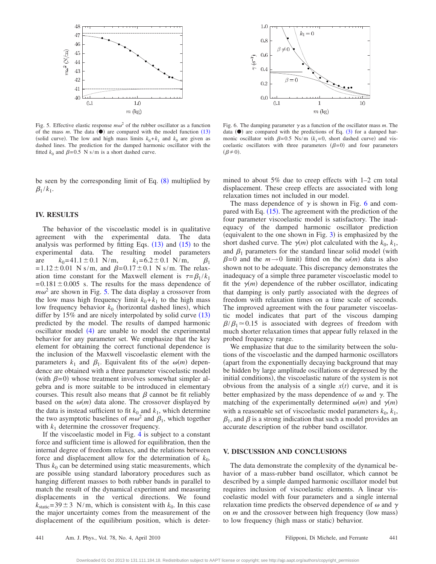<span id="page-5-0"></span>

<span id="page-5-1"></span> $1.0$  $k_1=0$  $0.8$  $\gamma$  (s^-1)  $0.6$  $0.4$  $\beta = 0$  $0.2$  $0.0$  $0.1$ 10  $m$  (kg)

Fig. 5. Effective elastic response  $m\omega^2$  of the rubber oscillator as a function of the mass  $m$ . The data  $(\bullet)$  are compared with the model function  $(13)$  $(13)$  $(13)$ (solid curve). The low and high mass limits  $k_0 + k_1$  and  $k_0$  are given as dashed lines. The prediction for the damped harmonic oscillator with the fitted  $k_0$  and  $\beta$ =0.5 N s/m is a short dashed curve.

be seen by the corresponding limit of Eq. ([8](#page-4-3)) multiplied by  $\beta_1 / k_1$ .

# **IV. RESULTS**

The behavior of the viscoelastic model is in qualitative agreement with the experimental data. The data analysis was performed by fitting Eqs.  $(13)$  $(13)$  $(13)$  and  $(15)$  $(15)$  $(15)$  to the experimental data. The resulting model parameters are  $k_0=41.1\pm0.1$  N/m,  $k_1=6.2\pm0.1$  N/m,  $\beta_1$  $=1.12\pm0.01$  N s/m, and  $\beta=0.17\pm0.1$  N s/m. The relaxation time constant for the Maxwell element is  $\tau = \beta_1 / k_1$  $=0.181\pm0.005$  s. The results for the mass dependence of  $m\omega^2$  are shown in Fig. [5.](#page-5-0) The data display a crossover from the low mass high frequency limit  $k_0 + k_1$  to the high mass low frequency behavior  $k_0$  (horizontal dashed lines), which differ by  $15\%$  and are nicely interpolated by solid curve  $(13)$  $(13)$  $(13)$ predicted by the model. The results of damped harmonic oscillator model  $(4)$  $(4)$  $(4)$  are unable to model the experimental behavior for any parameter set. We emphasize that the key element for obtaining the correct functional dependence is the inclusion of the Maxwell viscoelastic element with the parameters  $k_1$  and  $\beta_1$ . Equivalent fits of the  $\omega(m)$  dependence are obtained with a three parameter viscoelastic model (with  $\beta$ =0) whose treatment involves somewhat simpler algebra and is more suitable to be introduced in elementary courses. This result also means that  $\beta$  cannot be fit reliably based on the  $\omega(m)$  data alone. The crossover displayed by the data is instead sufficient to fit  $k_0$  and  $k_1$ , which determine the two asymptotic baselines of  $m\omega^2$  and  $\beta_1$ , which together with  $k_1$  determine the crossover frequency.

If the viscoelastic model in Fig. [4](#page-3-1) is subject to a constant force and sufficient time is allowed for equilibration, then the internal degree of freedom relaxes, and the relations between force and displacement allow for the determination of  $k_0$ . Thus  $k_0$  can be determined using static measurements, which are possible using standard laboratory procedures such as hanging different masses to both rubber bands in parallel to match the result of the dynamical experiment and measuring displacements in the vertical directions. We found  $k_{\text{static}} = 39 \pm 3 \text{ N/m}$ , which is consistent with  $k_0$ . In this case the major uncertainty comes from the measurement of the displacement of the equilibrium position, which is deter-

mined to about 5% due to creep effects with 1–2 cm total displacement. These creep effects are associated with long relaxation times not included in our model.

Fig. 6. The damping parameter  $\gamma$  as a function of the oscillator mass *m*. The data  $(\bullet)$  are compared with the predictions of Eq.  $(3)$  $(3)$  $(3)$  for a damped harmonic oscillator with  $\beta = 0.5$  Ns/m  $(k_1 = 0,$  short dashed curve) and viscoelastic oscillators with three parameters  $(\beta=0)$  and four parameters

 $(\beta \neq 0).$ 

The mass dependence of  $\gamma$  is shown in Fig. [6](#page-5-1) and compared with Eq.  $(15)$  $(15)$  $(15)$ . The agreement with the prediction of the four parameter viscoelastic model is satisfactory. The inadequacy of the damped harmonic oscillator prediction (equivalent to the one shown in Fig.  $3$ ) is emphasized by the short dashed curve. The  $\gamma(m)$  plot calculated with the  $k_0, k_1$ , and  $\beta_1$  parameters for the standard linear solid model (with  $\beta = 0$  and the  $m \rightarrow 0$  limit) fitted on the  $\omega(m)$  data is also shown not to be adequate. This discrepancy demonstrates the inadequacy of a simple three parameter viscoelastic model to fit the  $\gamma(m)$  dependence of the rubber oscillator, indicating that damping is only partly associated with the degrees of freedom with relaxation times on a time scale of seconds. The improved agreement with the four parameter viscoelastic model indicates that part of the viscous damping  $\beta/\beta_1 \approx 0.15$  is associated with degrees of freedom with much shorter relaxation times that appear fully relaxed in the probed frequency range.

We emphasize that due to the similarity between the solutions of the viscoelastic and the damped harmonic oscillators apart from the exponentially decaying background that may be hidden by large amplitude oscillations or depressed by the initial conditions), the viscoelastic nature of the system is not obvious from the analysis of a single  $x(t)$  curve, and it is better emphasized by the mass dependence of  $\omega$  and  $\gamma$ . The matching of the experimentally determined  $\omega(m)$  and  $\gamma(m)$ with a reasonable set of viscoelastic model parameters  $k_0, k_1$ ,  $\beta_1$ , and  $\beta$  is a strong indication that such a model provides an accurate description of the rubber band oscillator.

#### **V. DISCUSSION AND CONCLUSIONS**

The data demonstrate the complexity of the dynamical behavior of a mass-rubber band oscillator, which cannot be described by a simple damped harmonic oscillator model but requires inclusion of viscoelastic elements. A linear viscoelastic model with four parameters and a single internal relaxation time predicts the observed dependence of  $\omega$  and  $\gamma$ on *m* and the crossover between high frequency (low mass) to low frequency (high mass or static) behavior.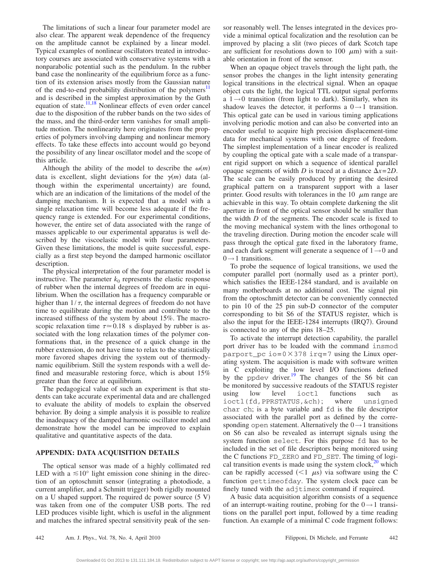The limitations of such a linear four parameter model are also clear. The apparent weak dependence of the frequency on the amplitude cannot be explained by a linear model. Typical examples of nonlinear oscillators treated in introductory courses are associated with conservative systems with a nonparabolic potential such as the pendulum. In the rubber band case the nonlinearity of the equilibrium force as a function of its extension arises mostly from the Gaussian nature of the end-to-end probability distribution of the polymers<sup>11</sup> and is described in the simplest approximation by the Guth equation of state.<sup>11,[18](#page-8-11)</sup> Nonlinear effects of even order cancel due to the disposition of the rubber bands on the two sides of the mass, and the third-order term vanishes for small amplitude motion. The nonlinearity here originates from the properties of polymers involving damping and nonlinear memory effects. To take these effects into account would go beyond the possibility of any linear oscillator model and the scope of this article.

Although the ability of the model to describe the  $\omega(m)$ data is excellent, slight deviations for the  $\gamma(m)$  data (although within the experimental uncertainty) are found, which are an indication of the limitations of the model of the damping mechanism. It is expected that a model with a single relaxation time will become less adequate if the frequency range is extended. For our experimental conditions, however, the entire set of data associated with the range of masses applicable to our experimental apparatus is well described by the viscoelastic model with four parameters. Given these limitations, the model is quite successful, especially as a first step beyond the damped harmonic oscillator description.

The physical interpretation of the four parameter model is instructive. The parameter  $k_0$  represents the elastic response of rubber when the internal degrees of freedom are in equilibrium. When the oscillation has a frequency comparable or higher than  $1/\tau$ , the internal degrees of freedom do not have time to equilibrate during the motion and contribute to the increased stiffness of the system by about 15%. The macroscopic relaxation time  $\tau \approx 0.18$  s displayed by rubber is associated with the long relaxation times of the polymer conformations that, in the presence of a quick change in the rubber extension, do not have time to relax to the statistically more favored shapes driving the system out of thermodynamic equilibrium. Still the system responds with a well defined and measurable restoring force, which is about 15% greater than the force at equilibrium.

The pedagogical value of such an experiment is that students can take accurate experimental data and are challenged to evaluate the ability of models to explain the observed behavior. By doing a simple analysis it is possible to realize the inadequacy of the damped harmonic oscillator model and demonstrate how the model can be improved to explain qualitative and quantitative aspects of the data.

### **APPENDIX: DATA ACQUISITION DETAILS**

The optical sensor was made of a highly collimated red LED with a  $\leq 10^{\circ}$  light emission cone shining in the direction of an optoschmitt sensor integrating a photodiode, a current amplifier, and a Schmitt trigger) both rigidly mounted on a U shaped support. The required dc power source  $(5 V)$ was taken from one of the computer USB ports. The red LED produces visible light, which is useful in the alignment and matches the infrared spectral sensitivity peak of the sensor reasonably well. The lenses integrated in the devices provide a minimal optical focalization and the resolution can be improved by placing a slit (two pieces of dark Scotch tape are sufficient for resolutions down to 100  $\mu$ m) with a suitable orientation in front of the sensor.

When an opaque object travels through the light path, the sensor probes the changes in the light intensity generating logical transitions in the electrical signal. When an opaque object cuts the light, the logical TTL output signal performs a  $1 \rightarrow 0$  transition (from light to dark). Similarly, when its shadow leaves the detector, it performs a  $0 \rightarrow 1$  transition. This optical gate can be used in various timing applications involving periodic motion and can also be converted into an encoder useful to acquire high precision displacement-time data for mechanical systems with one degree of freedom. The simplest implementation of a linear encoder is realized by coupling the optical gate with a scale made of a transparent rigid support on which a sequence of identical parallel opaque segments of width *D* is traced at a distance  $\Delta x = 2D$ . The scale can be easily produced by printing the desired graphical pattern on a transparent support with a laser printer. Good results with tolerances in the 10  $\mu$ m range are achievable in this way. To obtain complete darkening the slit aperture in front of the optical sensor should be smaller than the width *D* of the segments. The encoder scale is fixed to the moving mechanical system with the lines orthogonal to the traveling direction. During motion the encoder scale will pass through the optical gate fixed in the laboratory frame, and each dark segment will generate a sequence of  $1\rightarrow 0$  and  $0 \rightarrow 1$  transitions.

To probe the sequence of logical transitions, we used the computer parallel port (normally used as a printer port), which satisfies the IEEE-1284 standard, and is available on many motherboards at no additional cost. The signal pin from the optoschmitt detector can be conveniently connected to pin 10 of the 25 pin sub-D connector of the computer corresponding to bit S6 of the STATUS register, which is also the input for the IEEE-1284 interrupts (IRQ7). Ground is connected to any of the pins 18–25.

To activate the interrupt detection capability, the parallel port driver has to be loaded with the command insmod parport\_pc io= $0\times378$  irq=7 using the Linux operating system. The acquisition is made with software written in C exploiting the low level I/O functions defined by the ppdev driver. $\frac{19}{12}$  The changes of the S6 bit can be monitored by successive readouts of the STATUS register using low level ioctl functions such as ioctl(fd,PPRSTATUS,&ch); where unsigned char ch; is a byte variable and fd is the file descriptor associated with the parallel port as defined by the corresponding open statement. Alternatively the  $0 \rightarrow 1$  transitions on S6 can also be revealed as interrupt signals using the system function select. For this purpose fd has to be included in the set of file descriptors being monitored using the C functions FD\_ZERO and FD\_SET. The timing of logical transition events is made using the system clock, $20$  which can be rapidly accessed  $(< 1 \mu s)$  via software using the C function gettimeofday. The system clock pace can be finely tuned with the adjtimex command if required.

A basic data acquisition algorithm consists of a sequence of an interrupt-waiting routine, probing for the  $0 \rightarrow 1$  transitions on the parallel port input, followed by a time reading function. An example of a minimal C code fragment follows: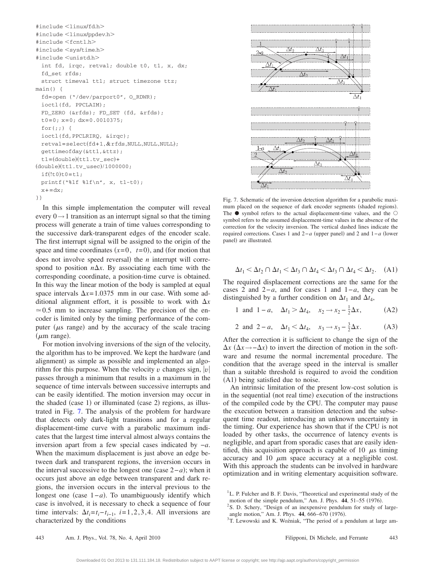```
#include <linux/fd.h>
#include <linux/ppdev.h>
#include <fcntl.h>
#include <sys/time.h>
#include <unistd.h>
  int fd, irqc, retval; double t0, t1, x, dx;
  fd_set rfds;
 struct timeval tt1; struct timezone ttz;
main() {
  fd=open ("/dev/parport0", O_RDWR);
 ioctl(fd, PPCLAIM);
 FD_ZERO (&rfds); FD_SET (fd, &rfds);
 t0=0; x=0; dx=0.0010375;
  for(j;) {
 ioctl(fd,PPCLRIRQ, &irqc);
  retval=select(fd+1, & rfds, NULL, NULL, NULL);
 gettimeofday(&tt1,&ttz);
  t1 = (double)(tt1.tv\_sec) +(double)(tt1.tv_usec)/1000000;
  if(!t0)t0=t1;printf("%lf %lf\n", x, t1-t0);
 x + = dx;
}}
```
In this simple implementation the computer will reveal every  $0 \rightarrow 1$  transition as an interrupt signal so that the timing process will generate a train of time values corresponding to the successive dark-transparent edges of the encoder scale. The first interrupt signal will be assigned to the origin of the space and time coordinates  $(x=0, t=0)$ , and (for motion that does not involve speed reversal) the  $n$  interrupt will correspond to position  $n\Delta x$ . By associating each time with the corresponding coordinate, a position-time curve is obtained. In this way the linear motion of the body is sampled at equal space intervals  $\Delta x = 1.0375$  mm in our case. With some additional alignment effort, it is possible to work with  $\Delta x$  $\approx 0.5$  mm to increase sampling. The precision of the encoder is limited only by the timing performance of the computer  $(\mu s$  range) and by the accuracy of the scale tracing  $(\mu m \text{ range}).$ 

For motion involving inversions of the sign of the velocity, the algorithm has to be improved. We kept the hardware (and alignment) as simple as possible and implemented an algorithm for this purpose. When the velocity  $v$  changes sign,  $|v|$ passes through a minimum that results in a maximum in the sequence of time intervals between successive interrupts and can be easily identified. The motion inversion may occur in the shaded (case 1) or illuminated (case 2) regions, as illustrated in Fig. [7.](#page-7-1) The analysis of the problem for hardware that detects only dark-light transitions and for a regular displacement-time curve with a parabolic maximum indicates that the largest time interval almost always contains the inversion apart from a few special cases indicated by −*a*. When the maximum displacement is just above an edge between dark and transparent regions, the inversion occurs in the interval successive to the longest one (case  $2-a$ ); when it occurs just above an edge between transparent and dark regions, the inversion occurs in the interval previous to the longest one (case 1–*a*). To unambiguously identify which case is involved, it is necessary to check a sequence of four time intervals:  $\Delta t_i = t_i - t_{i-1}$ , *i*=1,2,3,4. All inversions are characterized by the conditions

<span id="page-7-1"></span>

Fig. 7. Schematic of the inversion detection algorithm for a parabolic maximum placed on the sequence of dark encoder segments (shaded regions). The  $\bullet$  symbol refers to the actual displacement-time values, and the  $\circ$ symbol refers to the assumed displacement-time values in the absence of the correction for the velocity inversion. The vertical dashed lines indicate the required corrections. Cases 1 and 2–*a* (upper panel) and 2 and 1–*a* (lower panel) are illustrated.

$$
\Delta t_1 < \Delta t_2 \cap \Delta t_1 < \Delta t_3 \cap \Delta t_4 < \Delta t_3 \cap \Delta t_4 < \Delta t_2. \tag{A1}
$$

The required displacement corrections are the same for the cases 2 and 2−*a*, and for cases 1 and 1−*a*, they can be distinguished by a further condition on  $\Delta t_1$  and  $\Delta t_4$ ,

1 and 
$$
1 - a
$$
,  $\Delta t_1 > \Delta t_4$ ,  $x_2 \rightarrow x_2 - \frac{1}{2} \Delta x$ , (A2)

2 and 2-a, 
$$
\Delta t_1 < \Delta t_4
$$
,  $x_3 \rightarrow x_3 - \frac{3}{2} \Delta x$ . (A3)

After the correction it is sufficient to change the sign of the  $\Delta x$  ( $\Delta x \rightarrow -\Delta x$ ) to invert the direction of motion in the software and resume the normal incremental procedure. The condition that the average speed in the interval is smaller than a suitable threshold is required to avoid the condition (A1) being satisfied due to noise.

An intrinsic limitation of the present low-cost solution is in the sequential (not real time) execution of the instructions of the compiled code by the CPU. The computer may pause the execution between a transition detection and the subsequent time readout, introducing an unknown uncertainty in the timing. Our experience has shown that if the CPU is not loaded by other tasks, the occurrence of latency events is negligible, and apart from sporadic cases that are easily identified, this acquisition approach is capable of 10  $\mu$ s timing accuracy and 10  $\mu$ m space accuracy at a negligible cost. With this approach the students can be involved in hardware optimization and in writing elementary acquisition software.

<span id="page-7-0"></span><sup>&</sup>lt;sup>1</sup>L. P. Fulcher and B. F. Davis, "Theoretical and experimental study of the

motion of the simple pendulum," Am. J. Phys.  $44$ ,  $51-55$  (1976).  $2$ S. D. Schery, "Design of an inexpensive pendulum for study of large-

angle motion," Am. J. Phys.  $44, 666-670$  (1976). <sup>3</sup>T. Lewowski and K. Woźniak, "The period of a pendulum at large am-